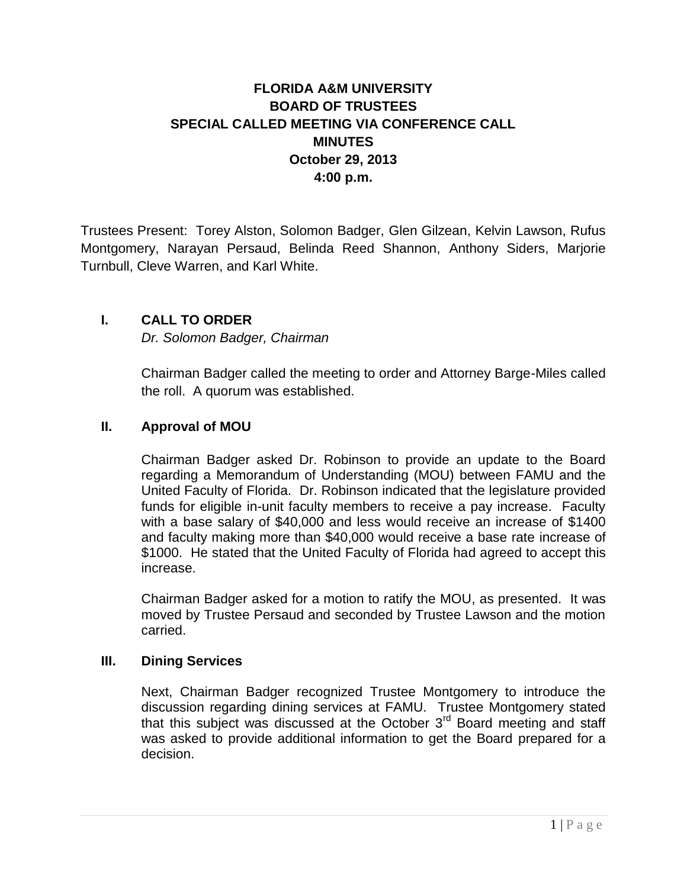## **FLORIDA A&M UNIVERSITY BOARD OF TRUSTEES SPECIAL CALLED MEETING VIA CONFERENCE CALL MINUTES October 29, 2013 4:00 p.m.**

Trustees Present: Torey Alston, Solomon Badger, Glen Gilzean, Kelvin Lawson, Rufus Montgomery, Narayan Persaud, Belinda Reed Shannon, Anthony Siders, Marjorie Turnbull, Cleve Warren, and Karl White.

## **I. CALL TO ORDER**

*Dr. Solomon Badger, Chairman*

Chairman Badger called the meeting to order and Attorney Barge-Miles called the roll. A quorum was established.

## **II. Approval of MOU**

Chairman Badger asked Dr. Robinson to provide an update to the Board regarding a Memorandum of Understanding (MOU) between FAMU and the United Faculty of Florida. Dr. Robinson indicated that the legislature provided funds for eligible in-unit faculty members to receive a pay increase. Faculty with a base salary of \$40,000 and less would receive an increase of \$1400 and faculty making more than \$40,000 would receive a base rate increase of \$1000. He stated that the United Faculty of Florida had agreed to accept this increase.

Chairman Badger asked for a motion to ratify the MOU, as presented. It was moved by Trustee Persaud and seconded by Trustee Lawson and the motion carried.

## **III. Dining Services**

Next, Chairman Badger recognized Trustee Montgomery to introduce the discussion regarding dining services at FAMU. Trustee Montgomery stated that this subject was discussed at the October  $3<sup>rd</sup>$  Board meeting and staff was asked to provide additional information to get the Board prepared for a decision.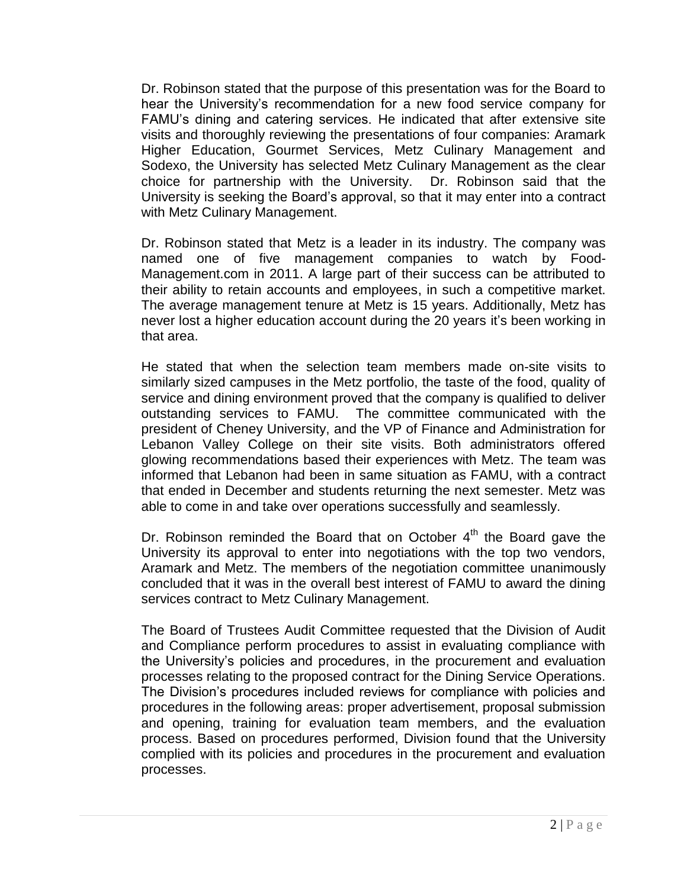Dr. Robinson stated that the purpose of this presentation was for the Board to hear the University's recommendation for a new food service company for FAMU's dining and catering services. He indicated that after extensive site visits and thoroughly reviewing the presentations of four companies: Aramark Higher Education, Gourmet Services, Metz Culinary Management and Sodexo, the University has selected Metz Culinary Management as the clear choice for partnership with the University. Dr. Robinson said that the University is seeking the Board's approval, so that it may enter into a contract with Metz Culinary Management.

Dr. Robinson stated that Metz is a leader in its industry. The company was named one of five management companies to watch by Food-Management.com in 2011. A large part of their success can be attributed to their ability to retain accounts and employees, in such a competitive market. The average management tenure at Metz is 15 years. Additionally, Metz has never lost a higher education account during the 20 years it's been working in that area.

He stated that when the selection team members made on-site visits to similarly sized campuses in the Metz portfolio, the taste of the food, quality of service and dining environment proved that the company is qualified to deliver outstanding services to FAMU. The committee communicated with the president of Cheney University, and the VP of Finance and Administration for Lebanon Valley College on their site visits. Both administrators offered glowing recommendations based their experiences with Metz. The team was informed that Lebanon had been in same situation as FAMU, with a contract that ended in December and students returning the next semester. Metz was able to come in and take over operations successfully and seamlessly.

Dr. Robinson reminded the Board that on October  $4<sup>th</sup>$  the Board gave the University its approval to enter into negotiations with the top two vendors, Aramark and Metz. The members of the negotiation committee unanimously concluded that it was in the overall best interest of FAMU to award the dining services contract to Metz Culinary Management.

The Board of Trustees Audit Committee requested that the Division of Audit and Compliance perform procedures to assist in evaluating compliance with the University's policies and procedures, in the procurement and evaluation processes relating to the proposed contract for the Dining Service Operations. The Division's procedures included reviews for compliance with policies and procedures in the following areas: proper advertisement, proposal submission and opening, training for evaluation team members, and the evaluation process. Based on procedures performed, Division found that the University complied with its policies and procedures in the procurement and evaluation processes.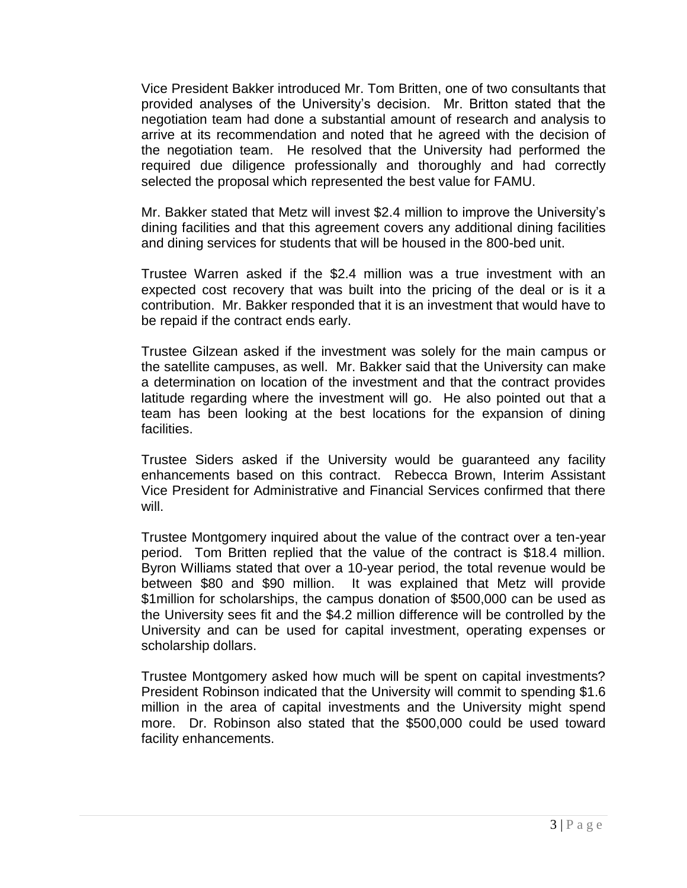Vice President Bakker introduced Mr. Tom Britten, one of two consultants that provided analyses of the University's decision. Mr. Britton stated that the negotiation team had done a substantial amount of research and analysis to arrive at its recommendation and noted that he agreed with the decision of the negotiation team. He resolved that the University had performed the required due diligence professionally and thoroughly and had correctly selected the proposal which represented the best value for FAMU.

Mr. Bakker stated that Metz will invest \$2.4 million to improve the University's dining facilities and that this agreement covers any additional dining facilities and dining services for students that will be housed in the 800-bed unit.

Trustee Warren asked if the \$2.4 million was a true investment with an expected cost recovery that was built into the pricing of the deal or is it a contribution. Mr. Bakker responded that it is an investment that would have to be repaid if the contract ends early.

Trustee Gilzean asked if the investment was solely for the main campus or the satellite campuses, as well. Mr. Bakker said that the University can make a determination on location of the investment and that the contract provides latitude regarding where the investment will go. He also pointed out that a team has been looking at the best locations for the expansion of dining facilities.

Trustee Siders asked if the University would be guaranteed any facility enhancements based on this contract. Rebecca Brown, Interim Assistant Vice President for Administrative and Financial Services confirmed that there will.

Trustee Montgomery inquired about the value of the contract over a ten-year period. Tom Britten replied that the value of the contract is \$18.4 million. Byron Williams stated that over a 10-year period, the total revenue would be between \$80 and \$90 million. It was explained that Metz will provide \$1million for scholarships, the campus donation of \$500,000 can be used as the University sees fit and the \$4.2 million difference will be controlled by the University and can be used for capital investment, operating expenses or scholarship dollars.

Trustee Montgomery asked how much will be spent on capital investments? President Robinson indicated that the University will commit to spending \$1.6 million in the area of capital investments and the University might spend more. Dr. Robinson also stated that the \$500,000 could be used toward facility enhancements.